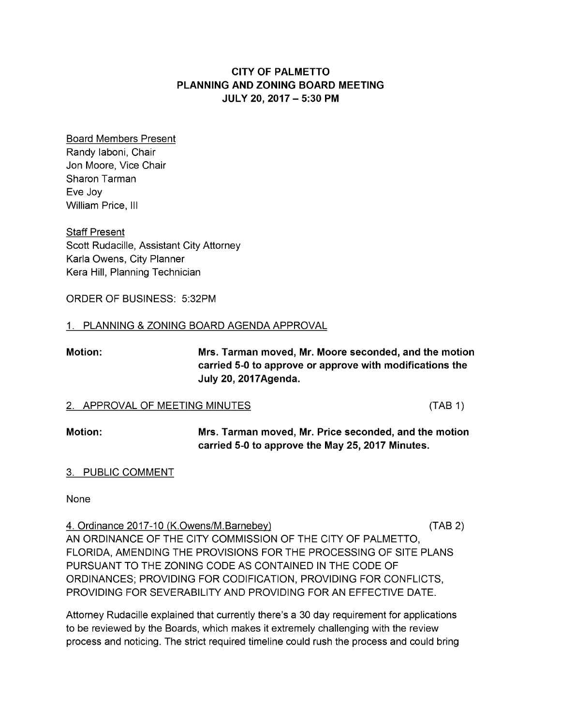# **CITY OF PALMETTO** PLANNING AND ZONING BOARD MEETING JULY 20, 2017 – 5:30PM

Board Members Present Randy Iaboni, Chair Jon Moore, Vice Chair Sharon Tarman Eve Joy William Price, III

**Staff Present** Scott Rudacille, Assistant City Attorney Karla Owens, City Planner Kera Hill, Planning Technician

ORDER OF BUSINESS: 5:32PM

## 1. PLANNING & ZONING BOARD AGENDA APPROVAL

Motion: Mrs. Tarman moved, Mr. Moore seconded, and themotion carried 5-0 to approve or approve with modifications the July 20, 2017Agenda.

### 2. APPROVAL OF MEETING MINUTES (TAB 1)

Motion: Mrs. Tarman moved, Mr. Price seconded, and the motion carried 5-0 to approve the May 25, 2017 Minutes.

## 3. PUBLIC COMMENT

None

4. Ordinance 2017-10 (K.Owens/M.Barnebey) ( TAB2) AN ORDINANCE OF THE CITY COMMISSION OF THE CITY OF PALMETTO, FLORIDA, AMENDING THE PROVISIONS FOR THE PROCESSING OF SITE PLANS PURSUANT TO THE ZONING CODE AS CONTAINED IN THE CODE OF ORDINANCES; PROVIDING FORCODIFICATION, PROVIDING FORCONFLICTS, PROVIDING FOR SEVERABILITY AND PROVIDING FOR AN EFFECTIVE DATE.

Attorney Rudacille explained that currently there's a 30 day requirement for applications to be reviewed by the Boards, which makes it extremely challenging with the review process and noticing. The strict required timeline could rush the process and could bring